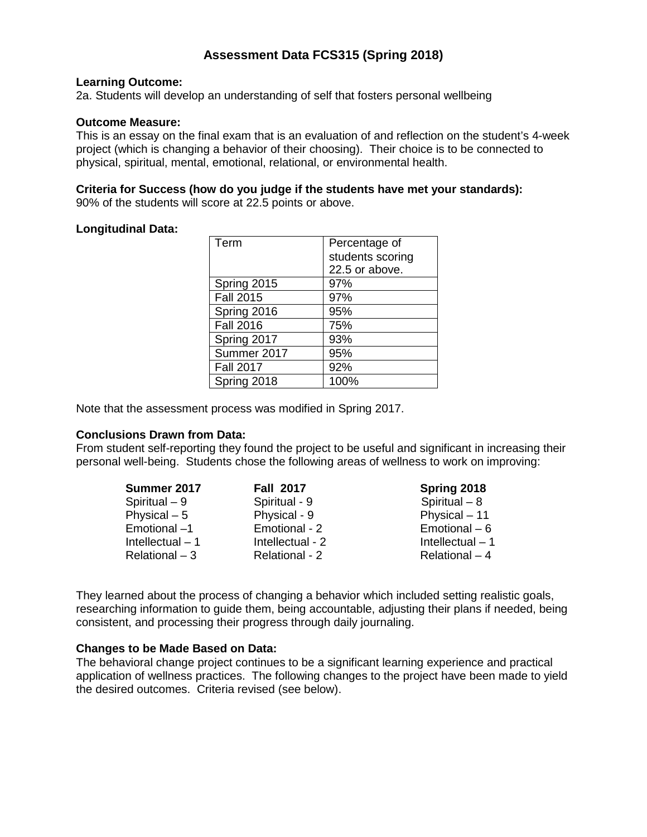# **Assessment Data FCS315 (Spring 2018)**

#### **Learning Outcome:**

2a. Students will develop an understanding of self that fosters personal wellbeing

## **Outcome Measure:**

This is an essay on the final exam that is an evaluation of and reflection on the student's 4-week project (which is changing a behavior of their choosing). Their choice is to be connected to physical, spiritual, mental, emotional, relational, or environmental health.

#### **Criteria for Success (how do you judge if the students have met your standards):** 90% of the students will score at 22.5 points or above.

### **Longitudinal Data:**

| Term             | Percentage of    |  |  |  |  |
|------------------|------------------|--|--|--|--|
|                  | students scoring |  |  |  |  |
|                  | 22.5 or above.   |  |  |  |  |
| Spring 2015      | 97%              |  |  |  |  |
| <b>Fall 2015</b> | 97%              |  |  |  |  |
| Spring 2016      | 95%              |  |  |  |  |
| Fall 2016        | 75%              |  |  |  |  |
| Spring 2017      | 93%              |  |  |  |  |
| Summer 2017      | 95%              |  |  |  |  |
| <b>Fall 2017</b> | 92%              |  |  |  |  |
| Spring 2018      | 100%             |  |  |  |  |

Note that the assessment process was modified in Spring 2017.

#### **Conclusions Drawn from Data:**

From student self-reporting they found the project to be useful and significant in increasing their personal well-being. Students chose the following areas of wellness to work on improving:

| <b>Fall 2017</b> | Spring 2018       |
|------------------|-------------------|
| Spiritual - 9    | Spiritual $-8$    |
| Physical - 9     | Physical - 11     |
| Emotional - 2    | Emotional $-6$    |
| Intellectual - 2 | Intellectual $-1$ |
| Relational - 2   | Relational - 4    |
|                  |                   |

They learned about the process of changing a behavior which included setting realistic goals, researching information to guide them, being accountable, adjusting their plans if needed, being consistent, and processing their progress through daily journaling.

#### **Changes to be Made Based on Data:**

The behavioral change project continues to be a significant learning experience and practical application of wellness practices. The following changes to the project have been made to yield the desired outcomes. Criteria revised (see below).